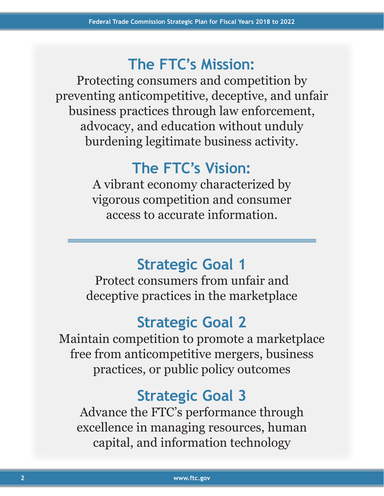# **The FTC's Mission:**

Protecting consumers and competition by preventing anticompetitive, deceptive, and unfair business practices through law enforcement, advocacy, and education without unduly burdening legitimate business activity.

# **The FTC's Vision:**

A vibrant economy characterized by vigorous competition and consumer access to accurate information.

# **Strategic Goal 1**

Protect consumers from unfair and deceptive practices in the marketplace

# **Strategic Goal 2**

Maintain competition to promote a marketplace free from anticompetitive mergers, business practices, or public policy outcomes

# **Strategic Goal 3**

Advance the FTC's performance through excellence in managing resources, human capital, and information technology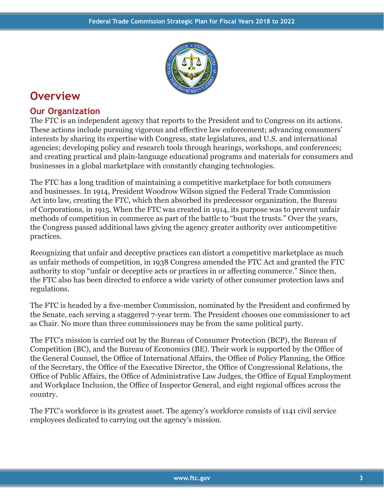

## **Overview**

## **Our Organization**

The FTC is an independent agency that reports to the President and to Congress on its actions. These actions include pursuing vigorous and effective law enforcement; advancing consumers' interests by sharing its expertise with Congress, state legislatures, and U.S. and international agencies; developing policy and research tools through hearings, workshops, and conferences; and creating practical and plain-language educational programs and materials for consumers and businesses in a global marketplace with constantly changing technologies.

The FTC has a long tradition of maintaining a competitive marketplace for both consumers and businesses. In 1914, President Woodrow Wilson signed the Federal Trade Commission Act into law, creating the FTC, which then absorbed its predecessor organization, the Bureau of Corporations, in 1915. When the FTC was created in 1914, its purpose was to prevent unfair methods of competition in commerce as part of the battle to "bust the trusts." Over the years, the Congress passed additional laws giving the agency greater authority over anticompetitive practices.

Recognizing that unfair and deceptive practices can distort a competitive marketplace as much as unfair methods of competition, in 1938 Congress amended the FTC Act and granted the FTC authority to stop "unfair or deceptive acts or practices in or affecting commerce." Since then, the FTC also has been directed to enforce a wide variety of other consumer protection laws and regulations.

The FTC is headed by a five-member Commission, nominated by the President and confirmed by the Senate, each serving a staggered 7-year term. The President chooses one commissioner to act as Chair. No more than three commissioners may be from the same political party.

The FTC's mission is carried out by the Bureau of Consumer Protection (BCP), the Bureau of Competition (BC), and the Bureau of Economics (BE). Their work is supported by the Office of the General Counsel, the Office of International Affairs, the Office of Policy Planning, the Office of the Secretary, the Office of the Executive Director, the Office of Congressional Relations, the Office of Public Affairs, the Office of Administrative Law Judges, the Office of Equal Employment and Workplace Inclusion, the Office of Inspector General, and eight regional offices across the country.

The FTC's workforce is its greatest asset. The agency's workforce consists of 1141 civil service employees dedicated to carrying out the agency's mission.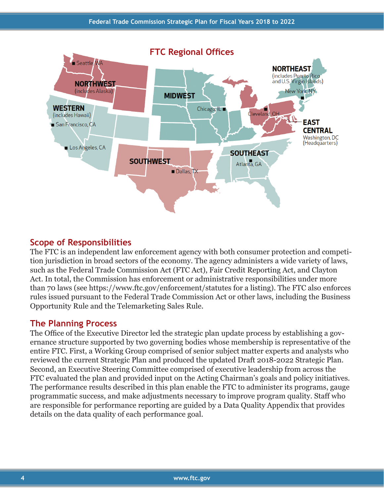

## **Scope of Responsibilities**

The FTC is an independent law enforcement agency with both consumer protection and competition jurisdiction in broad sectors of the economy. The agency administers a wide variety of laws, such as the Federal Trade Commission Act (FTC Act), Fair Credit Reporting Act, and Clayton Act. In total, the Commission has enforcement or administrative responsibilities under more than 70 laws (see https://www.ftc.gov/enforcement/statutes for a listing). The FTC also enforces rules issued pursuant to the Federal Trade Commission Act or other laws, including the Business Opportunity Rule and the Telemarketing Sales Rule.

## **The Planning Process**

The Office of the Executive Director led the strategic plan update process by establishing a governance structure supported by two governing bodies whose membership is representative of the entire FTC. First, a Working Group comprised of senior subject matter experts and analysts who reviewed the current Strategic Plan and produced the updated Draft 2018-2022 Strategic Plan. Second, an Executive Steering Committee comprised of executive leadership from across the FTC evaluated the plan and provided input on the Acting Chairman's goals and policy initiatives. The performance results described in this plan enable the FTC to administer its programs, gauge programmatic success, and make adjustments necessary to improve program quality. Staff who are responsible for performance reporting are guided by a Data Quality Appendix that provides details on the data quality of each performance goal.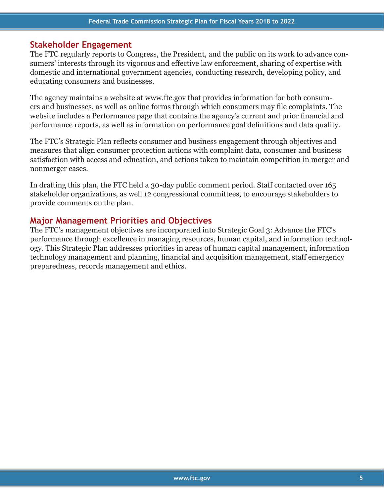## **Stakeholder Engagement**

The FTC regularly reports to Congress, the President, and the public on its work to advance consumers' interests through its vigorous and effective law enforcement, sharing of expertise with domestic and international government agencies, conducting research, developing policy, and educating consumers and businesses.

The agency maintains a website at www.ftc.gov that provides information for both consumers and businesses, as well as online forms through which consumers may file complaints. The website includes a Performance page that contains the agency's current and prior financial and performance reports, as well as information on performance goal definitions and data quality.

The FTC's Strategic Plan reflects consumer and business engagement through objectives and measures that align consumer protection actions with complaint data, consumer and business satisfaction with access and education, and actions taken to maintain competition in merger and nonmerger cases.

In drafting this plan, the FTC held a 30-day public comment period. Staff contacted over 165 stakeholder organizations, as well 12 congressional committees, to encourage stakeholders to provide comments on the plan.

## **Major Management Priorities and Objectives**

The FTC's management objectives are incorporated into Strategic Goal 3: Advance the FTC's performance through excellence in managing resources, human capital, and information technology. This Strategic Plan addresses priorities in areas of human capital management, information technology management and planning, financial and acquisition management, staff emergency preparedness, records management and ethics.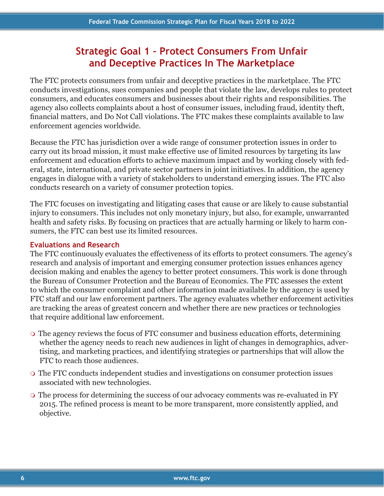## **Strategic Goal 1 – Protect Consumers From Unfair and Deceptive Practices In The Marketplace**

The FTC protects consumers from unfair and deceptive practices in the marketplace. The FTC conducts investigations, sues companies and people that violate the law, develops rules to protect consumers, and educates consumers and businesses about their rights and responsibilities. The agency also collects complaints about a host of consumer issues, including fraud, identity theft, financial matters, and Do Not Call violations. The FTC makes these complaints available to law enforcement agencies worldwide.

Because the FTC has jurisdiction over a wide range of consumer protection issues in order to carry out its broad mission, it must make effective use of limited resources by targeting its law enforcement and education efforts to achieve maximum impact and by working closely with federal, state, international, and private sector partners in joint initiatives. In addition, the agency engages in dialogue with a variety of stakeholders to understand emerging issues. The FTC also conducts research on a variety of consumer protection topics.

The FTC focuses on investigating and litigating cases that cause or are likely to cause substantial injury to consumers. This includes not only monetary injury, but also, for example, unwarranted health and safety risks. By focusing on practices that are actually harming or likely to harm consumers, the FTC can best use its limited resources.

## **Evaluations and Research**

The FTC continuously evaluates the effectiveness of its efforts to protect consumers. The agency's research and analysis of important and emerging consumer protection issues enhances agency decision making and enables the agency to better protect consumers. This work is done through the Bureau of Consumer Protection and the Bureau of Economics. The FTC assesses the extent to which the consumer complaint and other information made available by the agency is used by FTC staff and our law enforcement partners. The agency evaluates whether enforcement activities are tracking the areas of greatest concern and whether there are new practices or technologies that require additional law enforcement.

- The agency reviews the focus of FTC consumer and business education efforts, determining whether the agency needs to reach new audiences in light of changes in demographics, advertising, and marketing practices, and identifying strategies or partnerships that will allow the FTC to reach those audiences.
- The FTC conducts independent studies and investigations on consumer protection issues associated with new technologies.
- The process for determining the success of our advocacy comments was re-evaluated in FY 2015. The refined process is meant to be more transparent, more consistently applied, and objective.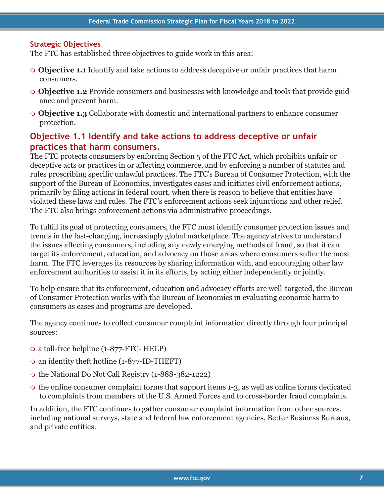#### **Strategic Objectives**

The FTC has established three objectives to guide work in this area:

- **Objective 1.1** Identify and take actions to address deceptive or unfair practices that harm consumers.
- **Objective 1.2** Provide consumers and businesses with knowledge and tools that provide guidance and prevent harm.
- **Objective 1.3** Collaborate with domestic and international partners to enhance consumer protection.

## **Objective 1.1 Identify and take actions to address deceptive or unfair practices that harm consumers.**

The FTC protects consumers by enforcing Section 5 of the FTC Act, which prohibits unfair or deceptive acts or practices in or affecting commerce, and by enforcing a number of statutes and rules proscribing specific unlawful practices. The FTC's Bureau of Consumer Protection, with the support of the Bureau of Economics, investigates cases and initiates civil enforcement actions, primarily by filing actions in federal court, when there is reason to believe that entities have violated these laws and rules. The FTC's enforcement actions seek injunctions and other relief. The FTC also brings enforcement actions via administrative proceedings.

To fulfill its goal of protecting consumers, the FTC must identify consumer protection issues and trends in the fast-changing, increasingly global marketplace. The agency strives to understand the issues affecting consumers, including any newly emerging methods of fraud, so that it can target its enforcement, education, and advocacy on those areas where consumers suffer the most harm. The FTC leverages its resources by sharing information with, and encouraging other law enforcement authorities to assist it in its efforts, by acting either independently or jointly.

To help ensure that its enforcement, education and advocacy efforts are well-targeted, the Bureau of Consumer Protection works with the Bureau of Economics in evaluating economic harm to consumers as cases and programs are developed.

The agency continues to collect consumer complaint information directly through four principal sources:

- a toll-free helpline (1-877-FTC- HELP)
- an identity theft hotline (1-877-ID-THEFT)
- o the National Do Not Call Registry (1-888-382-1222)
- the online consumer complaint forms that support items 1-3, as well as online forms dedicated to complaints from members of the U.S. Armed Forces and to cross-border fraud complaints.

In addition, the FTC continues to gather consumer complaint information from other sources, including national surveys, state and federal law enforcement agencies, Better Business Bureaus, and private entities.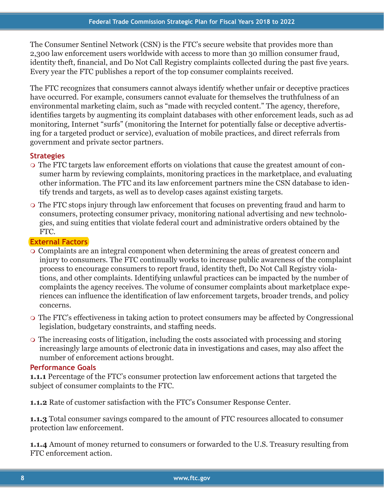The Consumer Sentinel Network (CSN) is the FTC's secure website that provides more than 2,300 law enforcement users worldwide with access to more than 30 million consumer fraud, identity theft, financial, and Do Not Call Registry complaints collected during the past five years. Every year the FTC publishes a report of the top consumer complaints received.

The FTC recognizes that consumers cannot always identify whether unfair or deceptive practices have occurred. For example, consumers cannot evaluate for themselves the truthfulness of an environmental marketing claim, such as "made with recycled content." The agency, therefore, identifies targets by augmenting its complaint databases with other enforcement leads, such as ad monitoring, Internet "surfs" (monitoring the Internet for potentially false or deceptive advertising for a targeted product or service), evaluation of mobile practices, and direct referrals from government and private sector partners.

## **Strategies**

- The FTC targets law enforcement efforts on violations that cause the greatest amount of consumer harm by reviewing complaints, monitoring practices in the marketplace, and evaluating other information. The FTC and its law enforcement partners mine the CSN database to identify trends and targets, as well as to develop cases against existing targets.
- The FTC stops injury through law enforcement that focuses on preventing fraud and harm to consumers, protecting consumer privacy, monitoring national advertising and new technologies, and suing entities that violate federal court and administrative orders obtained by the FTC.

## **External Factors**

- Complaints are an integral component when determining the areas of greatest concern and injury to consumers. The FTC continually works to increase public awareness of the complaint process to encourage consumers to report fraud, identity theft, Do Not Call Registry violations, and other complaints. Identifying unlawful practices can be impacted by the number of complaints the agency receives. The volume of consumer complaints about marketplace experiences can influence the identification of law enforcement targets, broader trends, and policy concerns.
- The FTC's effectiveness in taking action to protect consumers may be affected by Congressional legislation, budgetary constraints, and staffing needs.
- The increasing costs of litigation, including the costs associated with processing and storing increasingly large amounts of electronic data in investigations and cases, may also affect the number of enforcement actions brought.

## **Performance Goals**

**1.1.1** Percentage of the FTC's consumer protection law enforcement actions that targeted the subject of consumer complaints to the FTC.

**1.1.2** Rate of customer satisfaction with the FTC's Consumer Response Center.

**1.1.3** Total consumer savings compared to the amount of FTC resources allocated to consumer protection law enforcement.

**1.1.4** Amount of money returned to consumers or forwarded to the U.S. Treasury resulting from FTC enforcement action.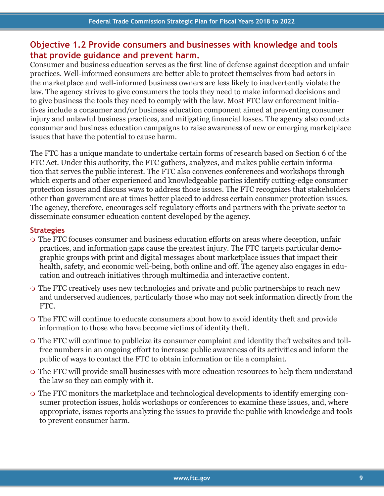## **Objective 1.2 Provide consumers and businesses with knowledge and tools that provide guidance and prevent harm.**

Consumer and business education serves as the first line of defense against deception and unfair practices. Well-informed consumers are better able to protect themselves from bad actors in the marketplace and well-informed business owners are less likely to inadvertently violate the law. The agency strives to give consumers the tools they need to make informed decisions and to give business the tools they need to comply with the law. Most FTC law enforcement initiatives include a consumer and/or business education component aimed at preventing consumer injury and unlawful business practices, and mitigating financial losses. The agency also conducts consumer and business education campaigns to raise awareness of new or emerging marketplace issues that have the potential to cause harm.

The FTC has a unique mandate to undertake certain forms of research based on Section 6 of the FTC Act. Under this authority, the FTC gathers, analyzes, and makes public certain information that serves the public interest. The FTC also convenes conferences and workshops through which experts and other experienced and knowledgeable parties identify cutting-edge consumer protection issues and discuss ways to address those issues. The FTC recognizes that stakeholders other than government are at times better placed to address certain consumer protection issues. The agency, therefore, encourages self-regulatory efforts and partners with the private sector to disseminate consumer education content developed by the agency.

#### **Strategies**

- The FTC focuses consumer and business education efforts on areas where deception, unfair practices, and information gaps cause the greatest injury. The FTC targets particular demographic groups with print and digital messages about marketplace issues that impact their health, safety, and economic well-being, both online and off. The agency also engages in education and outreach initiatives through multimedia and interactive content.
- The FTC creatively uses new technologies and private and public partnerships to reach new and underserved audiences, particularly those who may not seek information directly from the FTC.
- The FTC will continue to educate consumers about how to avoid identity theft and provide information to those who have become victims of identity theft.
- The FTC will continue to publicize its consumer complaint and identity theft websites and tollfree numbers in an ongoing effort to increase public awareness of its activities and inform the public of ways to contact the FTC to obtain information or file a complaint.
- The FTC will provide small businesses with more education resources to help them understand the law so they can comply with it.
- The FTC monitors the marketplace and technological developments to identify emerging consumer protection issues, holds workshops or conferences to examine these issues, and, where appropriate, issues reports analyzing the issues to provide the public with knowledge and tools to prevent consumer harm.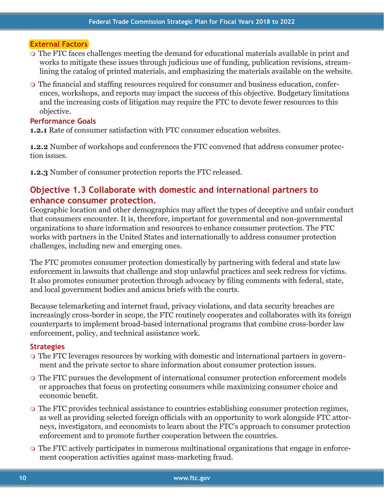#### **External Factors**

- The FTC faces challenges meeting the demand for educational materials available in print and works to mitigate these issues through judicious use of funding, publication revisions, streamlining the catalog of printed materials, and emphasizing the materials available on the website.
- The financial and staffing resources required for consumer and business education, conferences, workshops, and reports may impact the success of this objective. Budgetary limitations and the increasing costs of litigation may require the FTC to devote fewer resources to this objective.

## **Performance Goals**

**1.2.1** Rate of consumer satisfaction with FTC consumer education websites.

**1.2.2** Number of workshops and conferences the FTC convened that address consumer protection issues.

**1.2.3** Number of consumer protection reports the FTC released.

## **Objective 1.3 Collaborate with domestic and international partners to enhance consumer protection.**

Geographic location and other demographics may affect the types of deceptive and unfair conduct that consumers encounter. It is, therefore, important for governmental and non-governmental organizations to share information and resources to enhance consumer protection. The FTC works with partners in the United States and internationally to address consumer protection challenges, including new and emerging ones.

The FTC promotes consumer protection domestically by partnering with federal and state law enforcement in lawsuits that challenge and stop unlawful practices and seek redress for victims. It also promotes consumer protection through advocacy by filing comments with federal, state, and local government bodies and amicus briefs with the courts.

Because telemarketing and internet fraud, privacy violations, and data security breaches are increasingly cross-border in scope, the FTC routinely cooperates and collaborates with its foreign counterparts to implement broad-based international programs that combine cross-border law enforcement, policy, and technical assistance work.

#### **Strategies**

- The FTC leverages resources by working with domestic and international partners in government and the private sector to share information about consumer protection issues.
- The FTC pursues the development of international consumer protection enforcement models or approaches that focus on protecting consumers while maximizing consumer choice and economic benefit.
- The FTC provides technical assistance to countries establishing consumer protection regimes, as well as providing selected foreign officials with an opportunity to work alongside FTC attorneys, investigators, and economists to learn about the FTC's approach to consumer protection enforcement and to promote further cooperation between the countries.
- The FTC actively participates in numerous multinational organizations that engage in enforcement cooperation activities against mass-marketing fraud.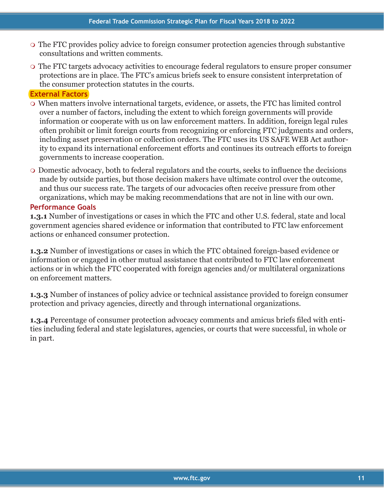- The FTC provides policy advice to foreign consumer protection agencies through substantive consultations and written comments.
- The FTC targets advocacy activities to encourage federal regulators to ensure proper consumer protections are in place. The FTC's amicus briefs seek to ensure consistent interpretation of the consumer protection statutes in the courts.

## **External Factors**

- When matters involve international targets, evidence, or assets, the FTC has limited control over a number of factors, including the extent to which foreign governments will provide information or cooperate with us on law enforcement matters. In addition, foreign legal rules often prohibit or limit foreign courts from recognizing or enforcing FTC judgments and orders, including asset preservation or collection orders. The FTC uses its US SAFE WEB Act authority to expand its international enforcement efforts and continues its outreach efforts to foreign governments to increase cooperation.
- Domestic advocacy, both to federal regulators and the courts, seeks to influence the decisions made by outside parties, but those decision makers have ultimate control over the outcome, and thus our success rate. The targets of our advocacies often receive pressure from other organizations, which may be making recommendations that are not in line with our own.

## **Performance Goals**

**1.3.1** Number of investigations or cases in which the FTC and other U.S. federal, state and local government agencies shared evidence or information that contributed to FTC law enforcement actions or enhanced consumer protection.

**1.3.2** Number of investigations or cases in which the FTC obtained foreign-based evidence or information or engaged in other mutual assistance that contributed to FTC law enforcement actions or in which the FTC cooperated with foreign agencies and/or multilateral organizations on enforcement matters.

**1.3.3** Number of instances of policy advice or technical assistance provided to foreign consumer protection and privacy agencies, directly and through international organizations.

**1.3.4** Percentage of consumer protection advocacy comments and amicus briefs filed with entities including federal and state legislatures, agencies, or courts that were successful, in whole or in part.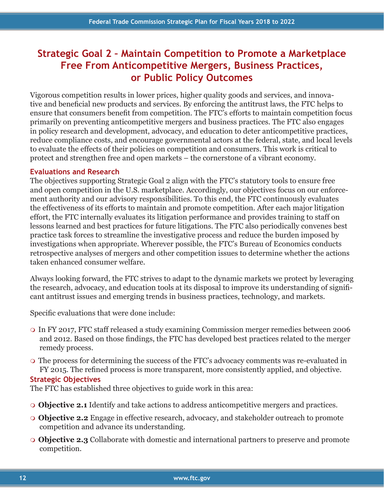## **Strategic Goal 2 – Maintain Competition to Promote a Marketplace Free From Anticompetitive Mergers, Business Practices, or Public Policy Outcomes**

Vigorous competition results in lower prices, higher quality goods and services, and innovative and beneficial new products and services. By enforcing the antitrust laws, the FTC helps to ensure that consumers benefit from competition. The FTC's efforts to maintain competition focus primarily on preventing anticompetitive mergers and business practices. The FTC also engages in policy research and development, advocacy, and education to deter anticompetitive practices, reduce compliance costs, and encourage governmental actors at the federal, state, and local levels to evaluate the effects of their policies on competition and consumers. This work is critical to protect and strengthen free and open markets – the cornerstone of a vibrant economy.

## **Evaluations and Research**

The objectives supporting Strategic Goal 2 align with the FTC's statutory tools to ensure free and open competition in the U.S. marketplace. Accordingly, our objectives focus on our enforcement authority and our advisory responsibilities. To this end, the FTC continuously evaluates the effectiveness of its efforts to maintain and promote competition. After each major litigation effort, the FTC internally evaluates its litigation performance and provides training to staff on lessons learned and best practices for future litigations. The FTC also periodically convenes best practice task forces to streamline the investigative process and reduce the burden imposed by investigations when appropriate. Wherever possible, the FTC's Bureau of Economics conducts retrospective analyses of mergers and other competition issues to determine whether the actions taken enhanced consumer welfare.

Always looking forward, the FTC strives to adapt to the dynamic markets we protect by leveraging the research, advocacy, and education tools at its disposal to improve its understanding of significant antitrust issues and emerging trends in business practices, technology, and markets.

Specific evaluations that were done include:

- In FY 2017, FTC staff released a study examining Commission merger remedies between 2006 and 2012. Based on those findings, the FTC has developed best practices related to the merger remedy process.
- The process for determining the success of the FTC's advocacy comments was re-evaluated in FY 2015. The refined process is more transparent, more consistently applied, and objective.

## **Strategic Objectives**

The FTC has established three objectives to guide work in this area:

- **Objective 2.1** Identify and take actions to address anticompetitive mergers and practices.
- **Objective 2.2** Engage in effective research, advocacy, and stakeholder outreach to promote competition and advance its understanding.
- **Objective 2.3** Collaborate with domestic and international partners to preserve and promote competition.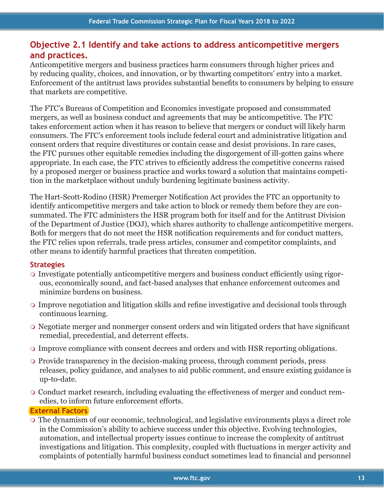## **Objective 2.1 Identify and take actions to address anticompetitive mergers and practices.**

Anticompetitive mergers and business practices harm consumers through higher prices and by reducing quality, choices, and innovation, or by thwarting competitors' entry into a market. Enforcement of the antitrust laws provides substantial benefits to consumers by helping to ensure that markets are competitive.

The FTC's Bureaus of Competition and Economics investigate proposed and consummated mergers, as well as business conduct and agreements that may be anticompetitive. The FTC takes enforcement action when it has reason to believe that mergers or conduct will likely harm consumers. The FTC's enforcement tools include federal court and administrative litigation and consent orders that require divestitures or contain cease and desist provisions. In rare cases, the FTC pursues other equitable remedies including the disgorgement of ill-gotten gains where appropriate. In each case, the FTC strives to efficiently address the competitive concerns raised by a proposed merger or business practice and works toward a solution that maintains competition in the marketplace without unduly burdening legitimate business activity.

The Hart-Scott-Rodino (HSR) Premerger Notification Act provides the FTC an opportunity to identify anticompetitive mergers and take action to block or remedy them before they are consummated. The FTC administers the HSR program both for itself and for the Antitrust Division of the Department of Justice (DOJ), which shares authority to challenge anticompetitive mergers. Both for mergers that do not meet the HSR notification requirements and for conduct matters, the FTC relies upon referrals, trade press articles, consumer and competitor complaints, and other means to identify harmful practices that threaten competition.

## **Strategies**

- Investigate potentially anticompetitive mergers and business conduct efficiently using rigorous, economically sound, and fact-based analyses that enhance enforcement outcomes and minimize burdens on business.
- Improve negotiation and litigation skills and refine investigative and decisional tools through continuous learning.
- Negotiate merger and nonmerger consent orders and win litigated orders that have significant remedial, precedential, and deterrent effects.
- Improve compliance with consent decrees and orders and with HSR reporting obligations.
- Provide transparency in the decision-making process, through comment periods, press releases, policy guidance, and analyses to aid public comment, and ensure existing guidance is up-to-date.
- Conduct market research, including evaluating the effectiveness of merger and conduct remedies, to inform future enforcement efforts.

## **External Factors**

 The dynamism of our economic, technological, and legislative environments plays a direct role in the Commission's ability to achieve success under this objective. Evolving technologies, automation, and intellectual property issues continue to increase the complexity of antitrust investigations and litigation. This complexity, coupled with fluctuations in merger activity and complaints of potentially harmful business conduct sometimes lead to financial and personnel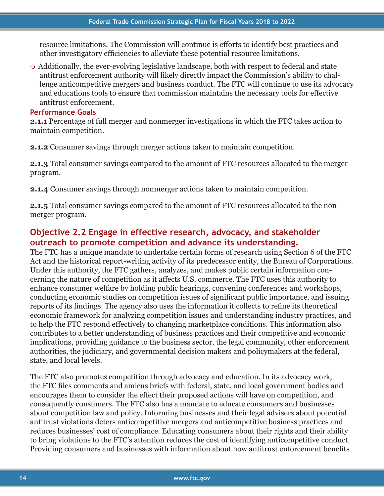resource limitations. The Commission will continue is efforts to identify best practices and other investigatory efficiencies to alleviate these potential resource limitations.

 Additionally, the ever-evolving legislative landscape, both with respect to federal and state antitrust enforcement authority will likely directly impact the Commission's ability to challenge anticompetitive mergers and business conduct. The FTC will continue to use its advocacy and educations tools to ensure that commission maintains the necessary tools for effective antitrust enforcement.

#### **Performance Goals**

**2.1.1** Percentage of full merger and nonmerger investigations in which the FTC takes action to maintain competition.

**2.1.2** Consumer savings through merger actions taken to maintain competition.

**2.1.3** Total consumer savings compared to the amount of FTC resources allocated to the merger program.

**2.1.4** Consumer savings through nonmerger actions taken to maintain competition.

**2.1.5** Total consumer savings compared to the amount of FTC resources allocated to the nonmerger program.

## **Objective 2.2 Engage in effective research, advocacy, and stakeholder outreach to promote competition and advance its understanding.**

The FTC has a unique mandate to undertake certain forms of research using Section 6 of the FTC Act and the historical report-writing activity of its predecessor entity, the Bureau of Corporations. Under this authority, the FTC gathers, analyzes, and makes public certain information concerning the nature of competition as it affects U.S. commerce. The FTC uses this authority to enhance consumer welfare by holding public hearings, convening conferences and workshops, conducting economic studies on competition issues of significant public importance, and issuing reports of its findings. The agency also uses the information it collects to refine its theoretical economic framework for analyzing competition issues and understanding industry practices, and to help the FTC respond effectively to changing marketplace conditions. This information also contributes to a better understanding of business practices and their competitive and economic implications, providing guidance to the business sector, the legal community, other enforcement authorities, the judiciary, and governmental decision makers and policymakers at the federal, state, and local levels.

The FTC also promotes competition through advocacy and education. In its advocacy work, the FTC files comments and amicus briefs with federal, state, and local government bodies and encourages them to consider the effect their proposed actions will have on competition, and consequently consumers. The FTC also has a mandate to educate consumers and businesses about competition law and policy. Informing businesses and their legal advisers about potential antitrust violations deters anticompetitive mergers and anticompetitive business practices and reduces businesses' cost of compliance. Educating consumers about their rights and their ability to bring violations to the FTC's attention reduces the cost of identifying anticompetitive conduct. Providing consumers and businesses with information about how antitrust enforcement benefits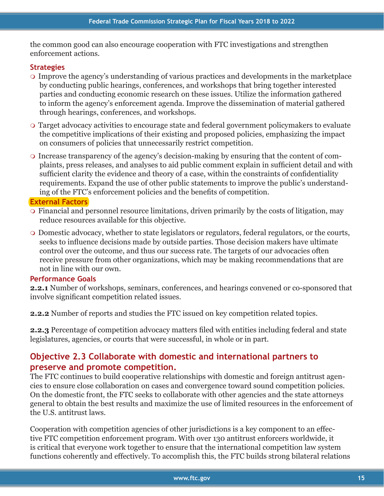the common good can also encourage cooperation with FTC investigations and strengthen enforcement actions.

## **Strategies**

- Improve the agency's understanding of various practices and developments in the marketplace by conducting public hearings, conferences, and workshops that bring together interested parties and conducting economic research on these issues. Utilize the information gathered to inform the agency's enforcement agenda. Improve the dissemination of material gathered through hearings, conferences, and workshops.
- Target advocacy activities to encourage state and federal government policymakers to evaluate the competitive implications of their existing and proposed policies, emphasizing the impact on consumers of policies that unnecessarily restrict competition.
- Increase transparency of the agency's decision-making by ensuring that the content of complaints, press releases, and analyses to aid public comment explain in sufficient detail and with sufficient clarity the evidence and theory of a case, within the constraints of confidentiality requirements. Expand the use of other public statements to improve the public's understanding of the FTC's enforcement policies and the benefits of competition.

## **External Factors**

- Financial and personnel resource limitations, driven primarily by the costs of litigation, may reduce resources available for this objective.
- Domestic advocacy, whether to state legislators or regulators, federal regulators, or the courts, seeks to influence decisions made by outside parties. Those decision makers have ultimate control over the outcome, and thus our success rate. The targets of our advocacies often receive pressure from other organizations, which may be making recommendations that are not in line with our own.

## **Performance Goals**

**2.2.1** Number of workshops, seminars, conferences, and hearings convened or co-sponsored that involve significant competition related issues.

**2.2.2** Number of reports and studies the FTC issued on key competition related topics.

**2.2.3** Percentage of competition advocacy matters filed with entities including federal and state legislatures, agencies, or courts that were successful, in whole or in part.

## **Objective 2.3 Collaborate with domestic and international partners to preserve and promote competition.**

The FTC continues to build cooperative relationships with domestic and foreign antitrust agencies to ensure close collaboration on cases and convergence toward sound competition policies. On the domestic front, the FTC seeks to collaborate with other agencies and the state attorneys general to obtain the best results and maximize the use of limited resources in the enforcement of the U.S. antitrust laws.

Cooperation with competition agencies of other jurisdictions is a key component to an effective FTC competition enforcement program. With over 130 antitrust enforcers worldwide, it is critical that everyone work together to ensure that the international competition law system functions coherently and effectively. To accomplish this, the FTC builds strong bilateral relations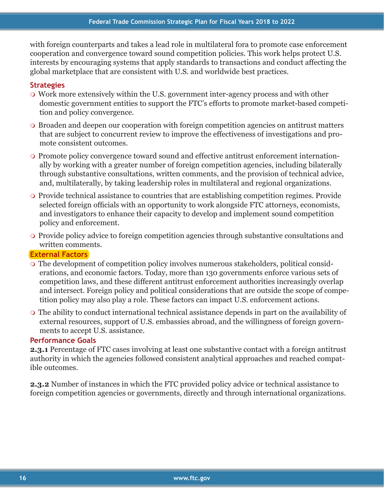with foreign counterparts and takes a lead role in multilateral fora to promote case enforcement cooperation and convergence toward sound competition policies. This work helps protect U.S. interests by encouraging systems that apply standards to transactions and conduct affecting the global marketplace that are consistent with U.S. and worldwide best practices.

## **Strategies**

- Work more extensively within the U.S. government inter-agency process and with other domestic government entities to support the FTC's efforts to promote market-based competition and policy convergence.
- Broaden and deepen our cooperation with foreign competition agencies on antitrust matters that are subject to concurrent review to improve the effectiveness of investigations and promote consistent outcomes.
- Promote policy convergence toward sound and effective antitrust enforcement internationally by working with a greater number of foreign competition agencies, including bilaterally through substantive consultations, written comments, and the provision of technical advice, and, multilaterally, by taking leadership roles in multilateral and regional organizations.
- Provide technical assistance to countries that are establishing competition regimes. Provide selected foreign officials with an opportunity to work alongside FTC attorneys, economists, and investigators to enhance their capacity to develop and implement sound competition policy and enforcement.
- Provide policy advice to foreign competition agencies through substantive consultations and written comments.

#### **External Factors**

- The development of competition policy involves numerous stakeholders, political considerations, and economic factors. Today, more than 130 governments enforce various sets of competition laws, and these different antitrust enforcement authorities increasingly overlap and intersect. Foreign policy and political considerations that are outside the scope of competition policy may also play a role. These factors can impact U.S. enforcement actions.
- The ability to conduct international technical assistance depends in part on the availability of external resources, support of U.S. embassies abroad, and the willingness of foreign governments to accept U.S. assistance.

#### **Performance Goals**

**2.3.1** Percentage of FTC cases involving at least one substantive contact with a foreign antitrust authority in which the agencies followed consistent analytical approaches and reached compatible outcomes.

**2.3.2** Number of instances in which the FTC provided policy advice or technical assistance to foreign competition agencies or governments, directly and through international organizations.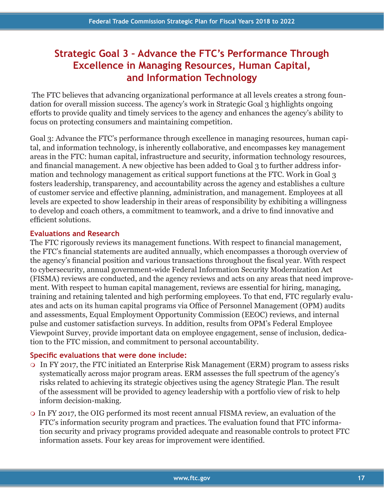## **Strategic Goal 3 – Advance the FTC's Performance Through Excellence in Managing Resources, Human Capital, and Information Technology**

 The FTC believes that advancing organizational performance at all levels creates a strong foundation for overall mission success. The agency's work in Strategic Goal 3 highlights ongoing efforts to provide quality and timely services to the agency and enhances the agency's ability to focus on protecting consumers and maintaining competition.

Goal 3: Advance the FTC's performance through excellence in managing resources, human capital, and information technology, is inherently collaborative, and encompasses key management areas in the FTC: human capital, infrastructure and security, information technology resources, and financial management. A new objective has been added to Goal 3 to further address information and technology management as critical support functions at the FTC. Work in Goal 3 fosters leadership, transparency, and accountability across the agency and establishes a culture of customer service and effective planning, administration, and management. Employees at all levels are expected to show leadership in their areas of responsibility by exhibiting a willingness to develop and coach others, a commitment to teamwork, and a drive to find innovative and efficient solutions.

### **Evaluations and Research**

The FTC rigorously reviews its management functions. With respect to financial management, the FTC's financial statements are audited annually, which encompasses a thorough overview of the agency's financial position and various transactions throughout the fiscal year. With respect to cybersecurity, annual government-wide Federal Information Security Modernization Act (FISMA) reviews are conducted, and the agency reviews and acts on any areas that need improvement. With respect to human capital management, reviews are essential for hiring, managing, training and retaining talented and high performing employees. To that end, FTC regularly evaluates and acts on its human capital programs via Office of Personnel Management (OPM) audits and assessments, Equal Employment Opportunity Commission (EEOC) reviews, and internal pulse and customer satisfaction surveys. In addition, results from OPM's Federal Employee Viewpoint Survey, provide important data on employee engagement, sense of inclusion, dedication to the FTC mission, and commitment to personal accountability.

## **Specific evaluations that were done include:**

- In FY 2017, the FTC initiated an Enterprise Risk Management (ERM) program to assess risks systematically across major program areas. ERM assesses the full spectrum of the agency's risks related to achieving its strategic objectives using the agency Strategic Plan. The result of the assessment will be provided to agency leadership with a portfolio view of risk to help inform decision-making.
- In FY 2017, the OIG performed its most recent annual FISMA review, an evaluation of the FTC's information security program and practices. The evaluation found that FTC information security and privacy programs provided adequate and reasonable controls to protect FTC information assets. Four key areas for improvement were identified.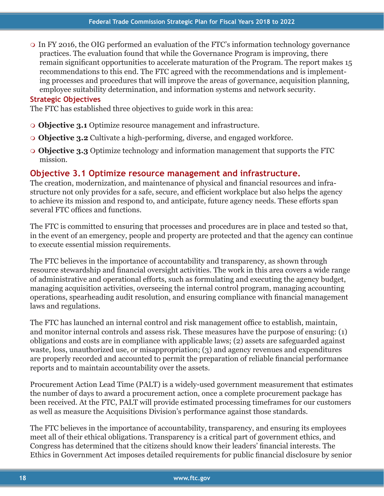In FY 2016, the OIG performed an evaluation of the FTC's information technology governance practices. The evaluation found that while the Governance Program is improving, there remain significant opportunities to accelerate maturation of the Program. The report makes 15 recommendations to this end. The FTC agreed with the recommendations and is implementing processes and procedures that will improve the areas of governance, acquisition planning, employee suitability determination, and information systems and network security.

## **Strategic Objectives**

The FTC has established three objectives to guide work in this area:

- **Objective 3.1** Optimize resource management and infrastructure.
- **Objective 3.2** Cultivate a high-performing, diverse, and engaged workforce.
- **Objective 3.3** Optimize technology and information management that supports the FTC mission.

## **Objective 3.1 Optimize resource management and infrastructure.**

The creation, modernization, and maintenance of physical and financial resources and infrastructure not only provides for a safe, secure, and efficient workplace but also helps the agency to achieve its mission and respond to, and anticipate, future agency needs. These efforts span several FTC offices and functions.

The FTC is committed to ensuring that processes and procedures are in place and tested so that, in the event of an emergency, people and property are protected and that the agency can continue to execute essential mission requirements.

The FTC believes in the importance of accountability and transparency, as shown through resource stewardship and financial oversight activities. The work in this area covers a wide range of administrative and operational efforts, such as formulating and executing the agency budget, managing acquisition activities, overseeing the internal control program, managing accounting operations, spearheading audit resolution, and ensuring compliance with financial management laws and regulations.

The FTC has launched an internal control and risk management office to establish, maintain, and monitor internal controls and assess risk. These measures have the purpose of ensuring: (1) obligations and costs are in compliance with applicable laws; (2) assets are safeguarded against waste, loss, unauthorized use, or misappropriation; (3) and agency revenues and expenditures are properly recorded and accounted to permit the preparation of reliable financial performance reports and to maintain accountability over the assets.

Procurement Action Lead Time (PALT) is a widely-used government measurement that estimates the number of days to award a procurement action, once a complete procurement package has been received. At the FTC, PALT will provide estimated processing timeframes for our customers as well as measure the Acquisitions Division's performance against those standards.

The FTC believes in the importance of accountability, transparency, and ensuring its employees meet all of their ethical obligations. Transparency is a critical part of government ethics, and Congress has determined that the citizens should know their leaders' financial interests. The Ethics in Government Act imposes detailed requirements for public financial disclosure by senior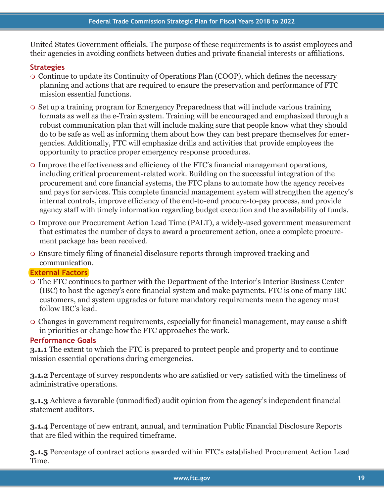United States Government officials. The purpose of these requirements is to assist employees and their agencies in avoiding conflicts between duties and private financial interests or affiliations.

## **Strategies**

- Continue to update its Continuity of Operations Plan (COOP), which defines the necessary planning and actions that are required to ensure the preservation and performance of FTC mission essential functions.
- Set up a training program for Emergency Preparedness that will include various training formats as well as the e-Train system. Training will be encouraged and emphasized through a robust communication plan that will include making sure that people know what they should do to be safe as well as informing them about how they can best prepare themselves for emergencies. Additionally, FTC will emphasize drills and activities that provide employees the opportunity to practice proper emergency response procedures.
- Improve the effectiveness and efficiency of the FTC's financial management operations, including critical procurement-related work. Building on the successful integration of the procurement and core financial systems, the FTC plans to automate how the agency receives and pays for services. This complete financial management system will strengthen the agency's internal controls, improve efficiency of the end-to-end procure-to-pay process, and provide agency staff with timely information regarding budget execution and the availability of funds.
- Improve our Procurement Action Lead Time (PALT), a widely-used government measurement that estimates the number of days to award a procurement action, once a complete procurement package has been received.
- Ensure timely filing of financial disclosure reports through improved tracking and communication.

## **External Factors**

- The FTC continues to partner with the Department of the Interior's Interior Business Center (IBC) to host the agency's core financial system and make payments. FTC is one of many IBC customers, and system upgrades or future mandatory requirements mean the agency must follow IBC's lead.
- Changes in government requirements, especially for financial management, may cause a shift in priorities or change how the FTC approaches the work.

## **Performance Goals**

**3.1.1** The extent to which the FTC is prepared to protect people and property and to continue mission essential operations during emergencies.

**3.1.2** Percentage of survey respondents who are satisfied or very satisfied with the timeliness of administrative operations.

**3.1.3** Achieve a favorable (unmodified) audit opinion from the agency's independent financial statement auditors.

**3.1.4** Percentage of new entrant, annual, and termination Public Financial Disclosure Reports that are filed within the required timeframe.

**3.1.5** Percentage of contract actions awarded within FTC's established Procurement Action Lead Time.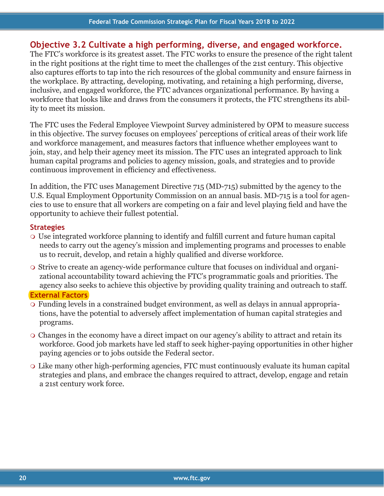## **Objective 3.2 Cultivate a high performing, diverse, and engaged workforce.**

The FTC's workforce is its greatest asset. The FTC works to ensure the presence of the right talent in the right positions at the right time to meet the challenges of the 21st century. This objective also captures efforts to tap into the rich resources of the global community and ensure fairness in the workplace. By attracting, developing, motivating, and retaining a high performing, diverse, inclusive, and engaged workforce, the FTC advances organizational performance. By having a workforce that looks like and draws from the consumers it protects, the FTC strengthens its ability to meet its mission.

The FTC uses the Federal Employee Viewpoint Survey administered by OPM to measure success in this objective. The survey focuses on employees' perceptions of critical areas of their work life and workforce management, and measures factors that influence whether employees want to join, stay, and help their agency meet its mission. The FTC uses an integrated approach to link human capital programs and policies to agency mission, goals, and strategies and to provide continuous improvement in efficiency and effectiveness.

In addition, the FTC uses Management Directive 715 (MD-715) submitted by the agency to the U.S. Equal Employment Opportunity Commission on an annual basis. MD-715 is a tool for agencies to use to ensure that all workers are competing on a fair and level playing field and have the opportunity to achieve their fullest potential.

### **Strategies**

- Use integrated workforce planning to identify and fulfill current and future human capital needs to carry out the agency's mission and implementing programs and processes to enable us to recruit, develop, and retain a highly qualified and diverse workforce.
- Strive to create an agency-wide performance culture that focuses on individual and organizational accountability toward achieving the FTC's programmatic goals and priorities. The agency also seeks to achieve this objective by providing quality training and outreach to staff.

#### **External Factors**

- Funding levels in a constrained budget environment, as well as delays in annual appropriations, have the potential to adversely affect implementation of human capital strategies and programs.
- Changes in the economy have a direct impact on our agency's ability to attract and retain its workforce. Good job markets have led staff to seek higher-paying opportunities in other higher paying agencies or to jobs outside the Federal sector.
- Like many other high-performing agencies, FTC must continuously evaluate its human capital strategies and plans, and embrace the changes required to attract, develop, engage and retain a 21st century work force.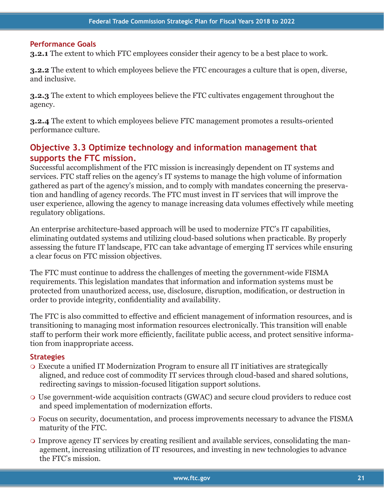#### **Performance Goals**

**3.2.1** The extent to which FTC employees consider their agency to be a best place to work.

**3.2.2** The extent to which employees believe the FTC encourages a culture that is open, diverse, and inclusive.

**3.2.3** The extent to which employees believe the FTC cultivates engagement throughout the agency.

**3.2.4** The extent to which employees believe FTC management promotes a results-oriented performance culture.

## **Objective 3.3 Optimize technology and information management that supports the FTC mission.**

Successful accomplishment of the FTC mission is increasingly dependent on IT systems and services. FTC staff relies on the agency's IT systems to manage the high volume of information gathered as part of the agency's mission, and to comply with mandates concerning the preservation and handling of agency records. The FTC must invest in IT services that will improve the user experience, allowing the agency to manage increasing data volumes effectively while meeting regulatory obligations.

An enterprise architecture-based approach will be used to modernize FTC's IT capabilities, eliminating outdated systems and utilizing cloud-based solutions when practicable. By properly assessing the future IT landscape, FTC can take advantage of emerging IT services while ensuring a clear focus on FTC mission objectives.

The FTC must continue to address the challenges of meeting the government-wide FISMA requirements. This legislation mandates that information and information systems must be protected from unauthorized access, use, disclosure, disruption, modification, or destruction in order to provide integrity, confidentiality and availability.

The FTC is also committed to effective and efficient management of information resources, and is transitioning to managing most information resources electronically. This transition will enable staff to perform their work more efficiently, facilitate public access, and protect sensitive information from inappropriate access.

#### **Strategies**

- Execute a unified IT Modernization Program to ensure all IT initiatives are strategically aligned, and reduce cost of commodity IT services through cloud-based and shared solutions, redirecting savings to mission-focused litigation support solutions.
- Use government-wide acquisition contracts (GWAC) and secure cloud providers to reduce cost and speed implementation of modernization efforts.
- Focus on security, documentation, and process improvements necessary to advance the FISMA maturity of the FTC.
- Improve agency IT services by creating resilient and available services, consolidating the management, increasing utilization of IT resources, and investing in new technologies to advance the FTC's mission.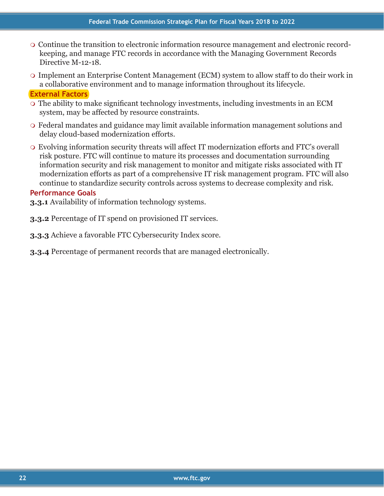- Continue the transition to electronic information resource management and electronic recordkeeping, and manage FTC records in accordance with the Managing Government Records Directive M-12-18.
- Implement an Enterprise Content Management (ECM) system to allow staff to do their work in a collaborative environment and to manage information throughout its lifecycle.

#### **External Factors**

- The ability to make significant technology investments, including investments in an ECM system, may be affected by resource constraints.
- Federal mandates and guidance may limit available information management solutions and delay cloud-based modernization efforts.
- Evolving information security threats will affect IT modernization efforts and FTC's overall risk posture. FTC will continue to mature its processes and documentation surrounding information security and risk management to monitor and mitigate risks associated with IT modernization efforts as part of a comprehensive IT risk management program. FTC will also continue to standardize security controls across systems to decrease complexity and risk.

#### **Performance Goals**

- **3.3.1** Availability of information technology systems.
- **3.3.2** Percentage of IT spend on provisioned IT services.
- **3.3.3** Achieve a favorable FTC Cybersecurity Index score.
- **3.3.4** Percentage of permanent records that are managed electronically.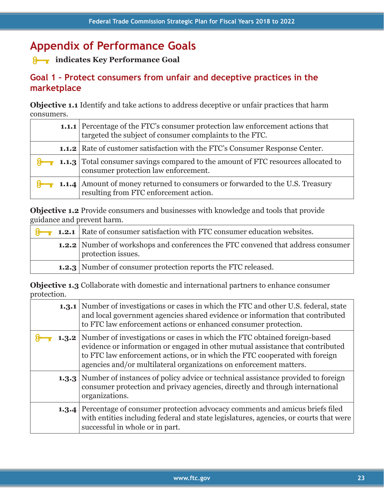## **Appendix of Performance Goals**

³**indicates Key Performance Goal**

## **Goal 1 – Protect consumers from unfair and deceptive practices in the marketplace**

**Objective 1.1** Identify and take actions to address deceptive or unfair practices that harm consumers.

| 1.1.1 Percentage of the FTC's consumer protection law enforcement actions that<br>targeted the subject of consumer complaints to the FTC. |
|-------------------------------------------------------------------------------------------------------------------------------------------|
| <b>1.1.2</b> Rate of customer satisfaction with the FTC's Consumer Response Center.                                                       |
| <b>8</b> 1.1.3 Total consumer savings compared to the amount of FTC resources allocated to<br>consumer protection law enforcement.        |
| 1.1.4   Amount of money returned to consumers or forwarded to the U.S. Treasury<br>resulting from FTC enforcement action.                 |

**Objective 1.2** Provide consumers and businesses with knowledge and tools that provide guidance and prevent harm.

| surance and prevent nariu. |                                                                                                               |
|----------------------------|---------------------------------------------------------------------------------------------------------------|
|                            | <b>8</b> 1.2.1 Rate of consumer satisfaction with FTC consumer education websites.                            |
|                            | <b>1.2.2</b> Number of workshops and conferences the FTC convened that address consumer<br>protection issues. |
|                            | <b>1.2.3</b> Number of consumer protection reports the FTC released.                                          |

**Objective 1.3** Collaborate with domestic and international partners to enhance consumer protection.

|       | <b>1.3.1</b> Number of investigations or cases in which the FTC and other U.S. federal, state<br>and local government agencies shared evidence or information that contributed<br>to FTC law enforcement actions or enhanced consumer protection.                                                                             |
|-------|-------------------------------------------------------------------------------------------------------------------------------------------------------------------------------------------------------------------------------------------------------------------------------------------------------------------------------|
|       | <b>1.3.2</b> Number of investigations or cases in which the FTC obtained foreign-based<br>evidence or information or engaged in other mutual assistance that contributed<br>to FTC law enforcement actions, or in which the FTC cooperated with foreign<br>agencies and/or multilateral organizations on enforcement matters. |
|       | <b>1.3.3</b> Number of instances of policy advice or technical assistance provided to foreign<br>consumer protection and privacy agencies, directly and through international<br>organizations.                                                                                                                               |
| 1.3.4 | Percentage of consumer protection advocacy comments and amicus briefs filed<br>with entities including federal and state legislatures, agencies, or courts that were<br>successful in whole or in part.                                                                                                                       |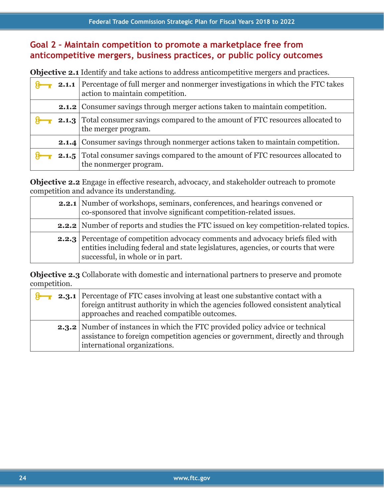## **Goal 2 – Maintain competition to promote a marketplace free from anticompetitive mergers, business practices, or public policy outcomes**

**Objective 2.1** Identify and take actions to address anticompetitive mergers and practices.

| <b>Objective 4.1</b> Richtliv and take actions to address anticompetitive increases and practices. |                                                                                                                        |
|----------------------------------------------------------------------------------------------------|------------------------------------------------------------------------------------------------------------------------|
|                                                                                                    | 2.1.1 Percentage of full merger and nonmerger investigations in which the FTC takes<br>action to maintain competition. |
|                                                                                                    | <b>2.1.2</b> Consumer savings through merger actions taken to maintain competition.                                    |
|                                                                                                    | <b>2.1.3</b> Total consumer savings compared to the amount of FTC resources allocated to<br>the merger program.        |
|                                                                                                    | <b>2.1.4</b> Consumer savings through nonmerger actions taken to maintain competition.                                 |
| 2.1.5                                                                                              | Total consumer savings compared to the amount of FTC resources allocated to<br>the nonmerger program.                  |

**Objective 2.2** Engage in effective research, advocacy, and stakeholder outreach to promote competition and advance its understanding.

| <b>2.2.1</b> Number of workshops, seminars, conferences, and hearings convened or<br>co-sponsored that involve significant competition-related issues.                                                          |
|-----------------------------------------------------------------------------------------------------------------------------------------------------------------------------------------------------------------|
| <b>2.2.2</b> Number of reports and studies the FTC issued on key competition-related topics.                                                                                                                    |
| <b>2.2.3</b> Percentage of competition advocacy comments and advocacy briefs filed with<br>entities including federal and state legislatures, agencies, or courts that were<br>successful, in whole or in part. |

**Objective 2.3** Collaborate with domestic and international partners to preserve and promote competition.

| componenties. |                                                                                                                                                                                                                           |
|---------------|---------------------------------------------------------------------------------------------------------------------------------------------------------------------------------------------------------------------------|
|               | <b>2.3.1</b> Percentage of FTC cases involving at least one substantive contact with a<br>foreign antitrust authority in which the agencies followed consistent analytical<br>approaches and reached compatible outcomes. |
|               | <b>2.3.2</b> Number of instances in which the FTC provided policy advice or technical<br>assistance to foreign competition agencies or government, directly and through<br>international organizations.                   |